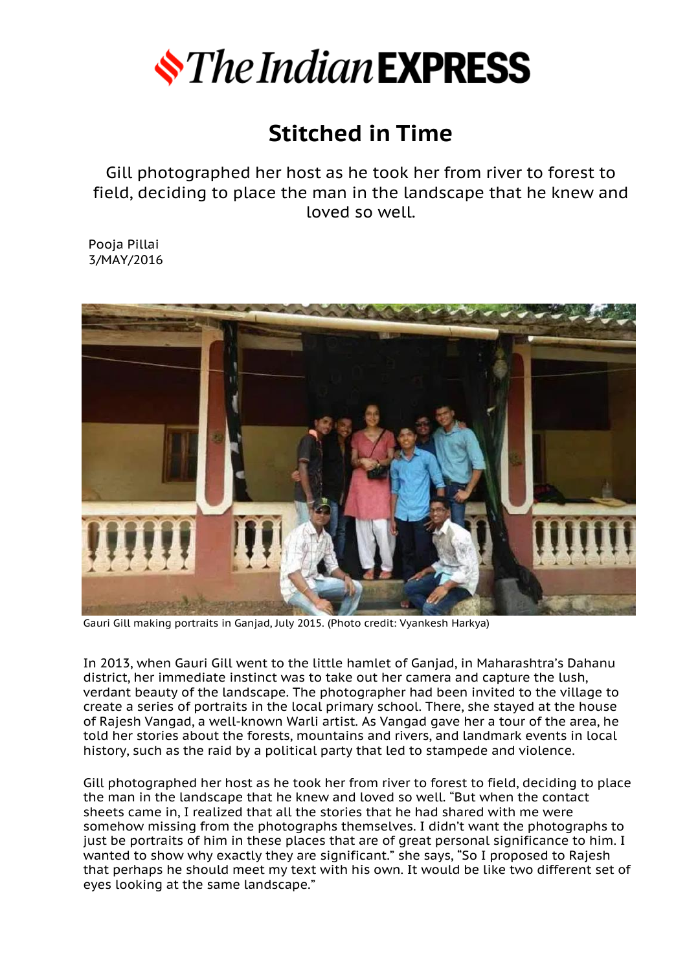

## **Stitched in Time**

Gill photographed her host as he took her from river to forest to field, deciding to place the man in the landscape that he knew and loved so well.

Pooja Pillai 3/MAY/2016



Gauri Gill making portraits in Ganjad, July 2015. (Photo credit: Vyankesh Harkya)

In 2013, when Gauri Gill went to the little hamlet of Ganjad, in Maharashtra's Dahanu district, her immediate instinct was to take out her camera and capture the lush, verdant beauty of the landscape. The photographer had been invited to the village to create a series of portraits in the local primary school. There, she stayed at the house of Rajesh Vangad, a well-known Warli artist. As Vangad gave her a tour of the area, he told her stories about the forests, mountains and rivers, and landmark events in local history, such as the raid by a political party that led to stampede and violence.

Gill photographed her host as he took her from river to forest to field, deciding to place the man in the landscape that he knew and loved so well. "But when the contact sheets came in, I realized that all the stories that he had shared with me were somehow missing from the photographs themselves. I didn't want the photographs to iust be portraits of him in these places that are of great personal significance to him. I wanted to show why exactly they are significant." she says, "So I proposed to Rajesh that perhaps he should meet my text with his own. It would be like two different set of eyes looking at the same landscape."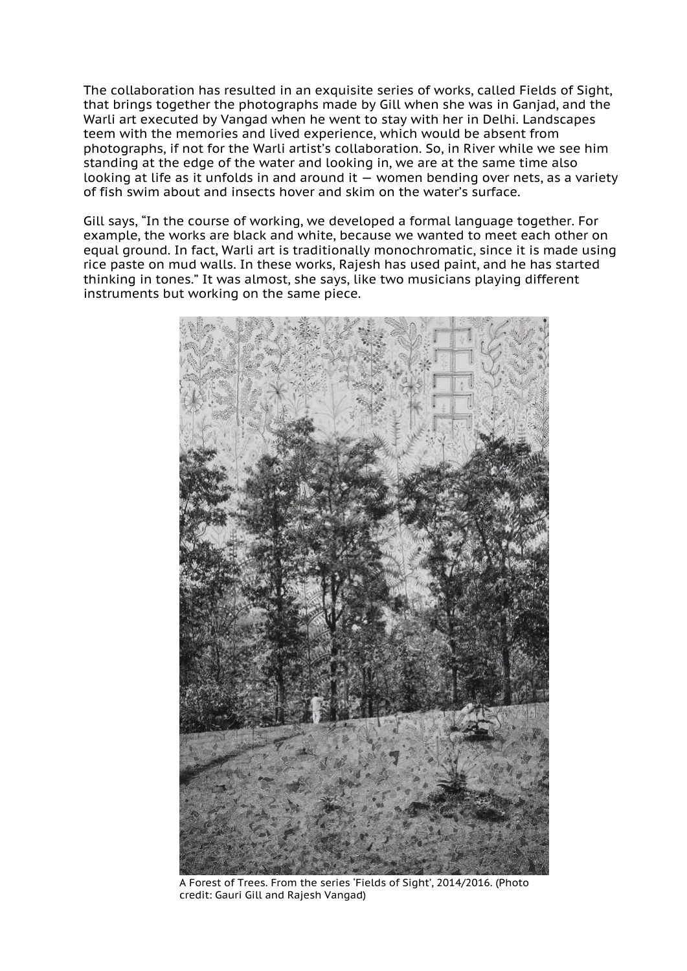The collaboration has resulted in an exquisite series of works, called Fields of Sight, that brings together the photographs made by Gill when she was in Ganjad, and the Warli art executed by Vangad when he went to stay with her in Delhi. Landscapes teem with the memories and lived experience, which would be absent from photographs, if not for the Warli artist's collaboration. So, in River while we see him standing at the edge of the water and looking in, we are at the same time also looking at life as it unfolds in and around it — women bending over nets, as a variety of fish swim about and insects hover and skim on the water's surface.

Gill says, "In the course of working, we developed a formal language together. For example, the works are black and white, because we wanted to meet each other on equal ground. In fact, Warli art is traditionally monochromatic, since it is made using rice paste on mud walls. In these works, Rajesh has used paint, and he has started thinking in tones." It was almost, she says, like two musicians playing different instruments but working on the same piece.



A Forest of Trees. From the series 'Fields of Sight', 2014/2016. (Photo credit: Gauri Gill and Rajesh Vangad)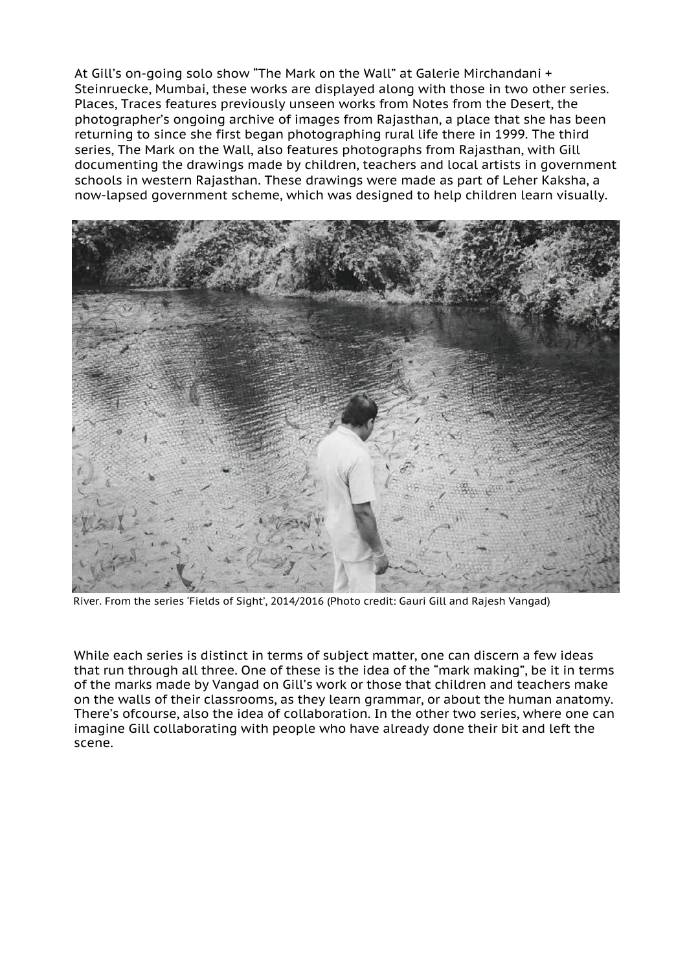At Gill's on-going solo show "The Mark on the Wall" at Galerie Mirchandani + Steinruecke, Mumbai, these works are displayed along with those in two other series. Places, Traces features previously unseen works from Notes from the Desert, the photographer's ongoing archive of images from Rajasthan, a place that she has been returning to since she first began photographing rural life there in 1999. The third series, The Mark on the Wall, also features photographs from Rajasthan, with Gill documenting the drawings made by children, teachers and local artists in government schools in western Rajasthan. These drawings were made as part of Leher Kaksha, a now-lapsed government scheme, which was designed to help children learn visually.



River. From the series 'Fields of Sight', 2014/2016 (Photo credit: Gauri Gill and Rajesh Vangad)

While each series is distinct in terms of subject matter, one can discern a few ideas that run through all three. One of these is the idea of the "mark making", be it in terms of the marks made by Vangad on Gill's work or those that children and teachers make on the walls of their classrooms, as they learn grammar, or about the human anatomy. There's ofcourse, also the idea of collaboration. In the other two series, where one can imagine Gill collaborating with people who have already done their bit and left the scene.